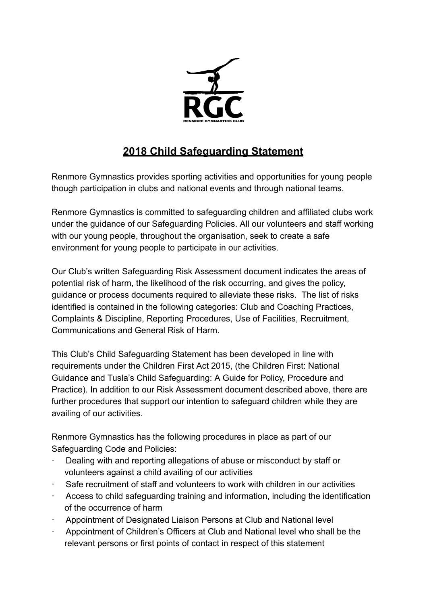

## **2018 Child Safeguarding Statement**

Renmore Gymnastics provides sporting activities and opportunities for young people though participation in clubs and national events and through national teams.

Renmore Gymnastics is committed to safeguarding children and affiliated clubs work under the guidance of our Safeguarding Policies. All our volunteers and staff working with our young people, throughout the organisation, seek to create a safe environment for young people to participate in our activities.

Our Club's written Safeguarding Risk Assessment document indicates the areas of potential risk of harm, the likelihood of the risk occurring, and gives the policy, guidance or process documents required to alleviate these risks. The list of risks identified is contained in the following categories: Club and Coaching Practices, Complaints & Discipline, Reporting Procedures, Use of Facilities, Recruitment, Communications and General Risk of Harm.

This Club's Child Safeguarding Statement has been developed in line with requirements under the Children First Act 2015, (the Children First: National Guidance and Tusla's Child Safeguarding: A Guide for Policy, Procedure and Practice). In addition to our Risk Assessment document described above, there are further procedures that support our intention to safeguard children while they are availing of our activities.

Renmore Gymnastics has the following procedures in place as part of our Safeguarding Code and Policies:

- Dealing with and reporting allegations of abuse or misconduct by staff or volunteers against a child availing of our activities
- Safe recruitment of staff and volunteers to work with children in our activities
- Access to child safeguarding training and information, including the identification of the occurrence of harm
- · Appointment of Designated Liaison Persons at Club and National level
- · Appointment of Children's Officers at Club and National level who shall be the relevant persons or first points of contact in respect of this statement